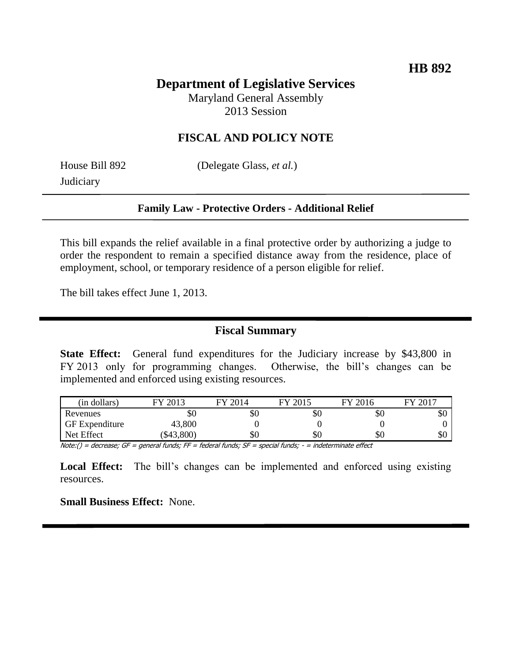# **Department of Legislative Services**

Maryland General Assembly 2013 Session

### **FISCAL AND POLICY NOTE**

**Judiciary** 

House Bill 892 (Delegate Glass, *et al.*)

#### **Family Law - Protective Orders - Additional Relief**

This bill expands the relief available in a final protective order by authorizing a judge to order the respondent to remain a specified distance away from the residence, place of employment, school, or temporary residence of a person eligible for relief.

The bill takes effect June 1, 2013.

#### **Fiscal Summary**

**State Effect:** General fund expenditures for the Judiciary increase by \$43,800 in FY 2013 only for programming changes. Otherwise, the bill's changes can be implemented and enforced using existing resources.

| (in dollars)          | FY 2013       | FY 2014           | FY 2015                 | FY 2016            | FY 2017   |
|-----------------------|---------------|-------------------|-------------------------|--------------------|-----------|
| Revenues              | ъU            | УU                | ъU                      | УU                 | ъU        |
| <b>GF</b> Expenditure | 43,800        |                   |                         |                    |           |
| Net Effect            | \$43,800      | УU                | УU                      | \$0                | ሰ ቦ<br>УU |
| $\cdots$<br>$\sim$    | $-$<br>$\sim$ | $-$<br>$\epsilon$ | $\cdot$ $\cdot$ $\cdot$ | $\sim$ $\sim$<br>. |           |

Note:() = decrease; GF = general funds; FF = federal funds; SF = special funds; - = indeterminate effect

Local Effect: The bill's changes can be implemented and enforced using existing resources.

**Small Business Effect:** None.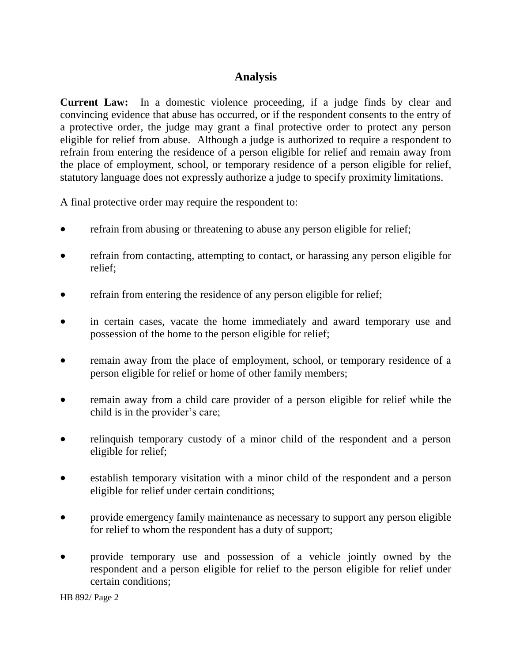## **Analysis**

**Current Law:** In a domestic violence proceeding, if a judge finds by clear and convincing evidence that abuse has occurred, or if the respondent consents to the entry of a protective order, the judge may grant a final protective order to protect any person eligible for relief from abuse. Although a judge is authorized to require a respondent to refrain from entering the residence of a person eligible for relief and remain away from the place of employment, school, or temporary residence of a person eligible for relief, statutory language does not expressly authorize a judge to specify proximity limitations.

A final protective order may require the respondent to:

- refrain from abusing or threatening to abuse any person eligible for relief;
- refrain from contacting, attempting to contact, or harassing any person eligible for relief;
- refrain from entering the residence of any person eligible for relief;
- in certain cases, vacate the home immediately and award temporary use and possession of the home to the person eligible for relief;
- remain away from the place of employment, school, or temporary residence of a person eligible for relief or home of other family members;
- remain away from a child care provider of a person eligible for relief while the child is in the provider's care;
- relinquish temporary custody of a minor child of the respondent and a person eligible for relief;
- establish temporary visitation with a minor child of the respondent and a person eligible for relief under certain conditions;
- provide emergency family maintenance as necessary to support any person eligible for relief to whom the respondent has a duty of support;
- provide temporary use and possession of a vehicle jointly owned by the respondent and a person eligible for relief to the person eligible for relief under certain conditions;

HB 892/ Page 2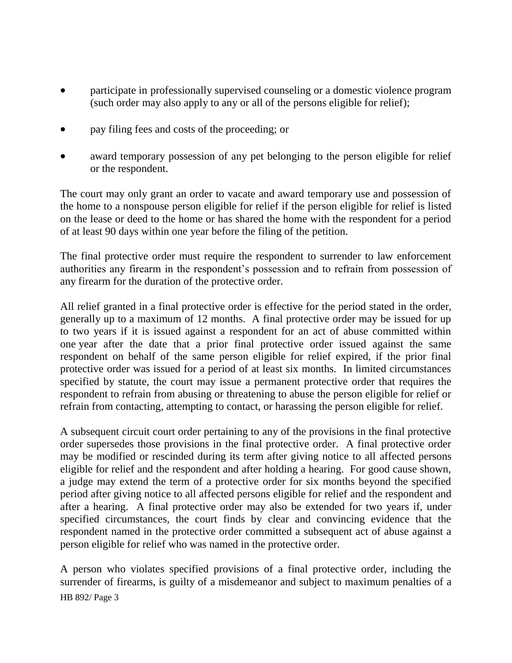- participate in professionally supervised counseling or a domestic violence program (such order may also apply to any or all of the persons eligible for relief);
- pay filing fees and costs of the proceeding; or
- award temporary possession of any pet belonging to the person eligible for relief or the respondent.

The court may only grant an order to vacate and award temporary use and possession of the home to a nonspouse person eligible for relief if the person eligible for relief is listed on the lease or deed to the home or has shared the home with the respondent for a period of at least 90 days within one year before the filing of the petition.

The final protective order must require the respondent to surrender to law enforcement authorities any firearm in the respondent's possession and to refrain from possession of any firearm for the duration of the protective order.

All relief granted in a final protective order is effective for the period stated in the order, generally up to a maximum of 12 months. A final protective order may be issued for up to two years if it is issued against a respondent for an act of abuse committed within one year after the date that a prior final protective order issued against the same respondent on behalf of the same person eligible for relief expired, if the prior final protective order was issued for a period of at least six months. In limited circumstances specified by statute, the court may issue a permanent protective order that requires the respondent to refrain from abusing or threatening to abuse the person eligible for relief or refrain from contacting, attempting to contact, or harassing the person eligible for relief.

A subsequent circuit court order pertaining to any of the provisions in the final protective order supersedes those provisions in the final protective order. A final protective order may be modified or rescinded during its term after giving notice to all affected persons eligible for relief and the respondent and after holding a hearing. For good cause shown, a judge may extend the term of a protective order for six months beyond the specified period after giving notice to all affected persons eligible for relief and the respondent and after a hearing. A final protective order may also be extended for two years if, under specified circumstances, the court finds by clear and convincing evidence that the respondent named in the protective order committed a subsequent act of abuse against a person eligible for relief who was named in the protective order.

HB 892/ Page 3 A person who violates specified provisions of a final protective order, including the surrender of firearms, is guilty of a misdemeanor and subject to maximum penalties of a